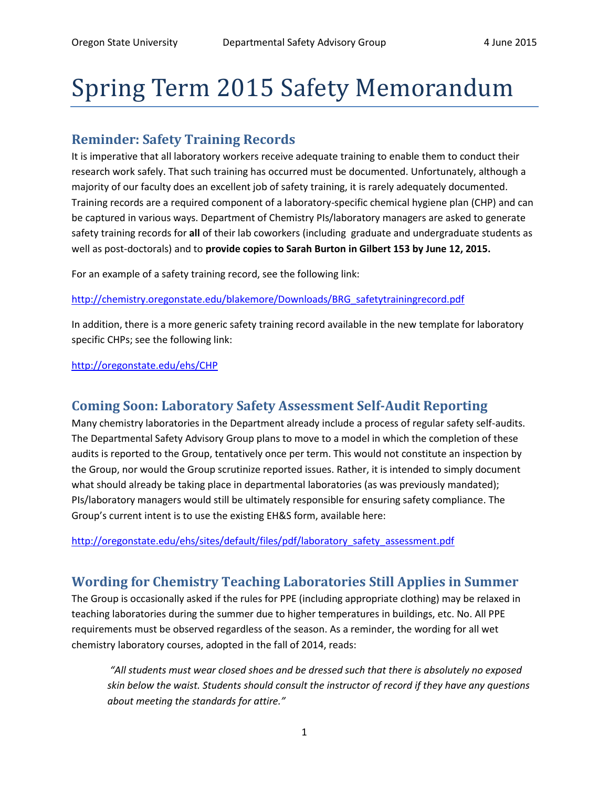# Spring Term 2015 Safety Memorandum

# **Reminder: Safety Training Records**

It is imperative that all laboratory workers receive adequate training to enable them to conduct their research work safely. That such training has occurred must be documented. Unfortunately, although a majority of our faculty does an excellent job of safety training, it is rarely adequately documented. Training records are a required component of a laboratory-specific chemical hygiene plan (CHP) and can be captured in various ways. Department of Chemistry PIs/laboratory managers are asked to generate safety training records for **all** of their lab coworkers (including graduate and undergraduate students as well as post-doctorals) and to **provide copies to Sarah Burton in Gilbert 153 by June 12, 2015.**

For an example of a safety training record, see the following link:

[http://chemistry.oregonstate.edu/blakemore/Downloads/BRG\\_safetytrainingrecord.pdf](http://chemistry.oregonstate.edu/blakemore/Downloads/BRG_safetytrainingrecord.pdf)

In addition, there is a more generic safety training record available in the new template for laboratory specific CHPs; see the following link:

#### <http://oregonstate.edu/ehs/CHP>

# **Coming Soon: Laboratory Safety Assessment Self-Audit Reporting**

Many chemistry laboratories in the Department already include a process of regular safety self-audits. The Departmental Safety Advisory Group plans to move to a model in which the completion of these audits is reported to the Group, tentatively once per term. This would not constitute an inspection by the Group, nor would the Group scrutinize reported issues. Rather, it is intended to simply document what should already be taking place in departmental laboratories (as was previously mandated); PIs/laboratory managers would still be ultimately responsible for ensuring safety compliance. The Group's current intent is to use the existing EH&S form, available here:

[http://oregonstate.edu/ehs/sites/default/files/pdf/laboratory\\_safety\\_assessment.pdf](http://oregonstate.edu/ehs/sites/default/files/pdf/laboratory_safety_assessment.pdf)

# **Wording for Chemistry Teaching Laboratories Still Applies in Summer**

The Group is occasionally asked if the rules for PPE (including appropriate clothing) may be relaxed in teaching laboratories during the summer due to higher temperatures in buildings, etc. No. All PPE requirements must be observed regardless of the season. As a reminder, the wording for all wet chemistry laboratory courses, adopted in the fall of 2014, reads:

*"All students must wear closed shoes and be dressed such that there is absolutely no exposed skin below the waist. Students should consult the instructor of record if they have any questions about meeting the standards for attire."*